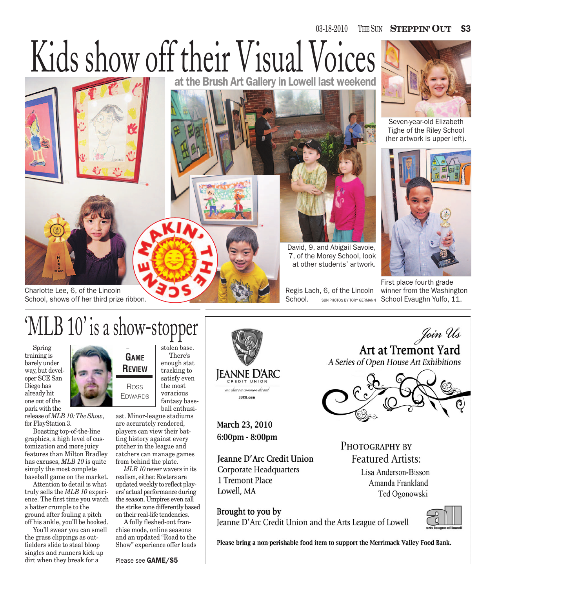## $03-18-2010$ SUN **STEPPIN' OUT** S3

## Kids show off their Visual Voices



Charlotte Lee, 6, of the Lincoln School, shows off her third prize ribbon. at the Brush Art Gallery in Lowell last weekend



David, 9, and Abigail Savoie, 7, of the Morey School, look at other students' artwork.

Regis Lach, 6, of the Lincoln School. SUN PHOTOS BY TORY GERMANN

First place fourth grade winner from the Washington School Evaughn Yulfo, 11.



Seven-year-old Elizabeth Tighe of the Riley School (her artwork is upper left).